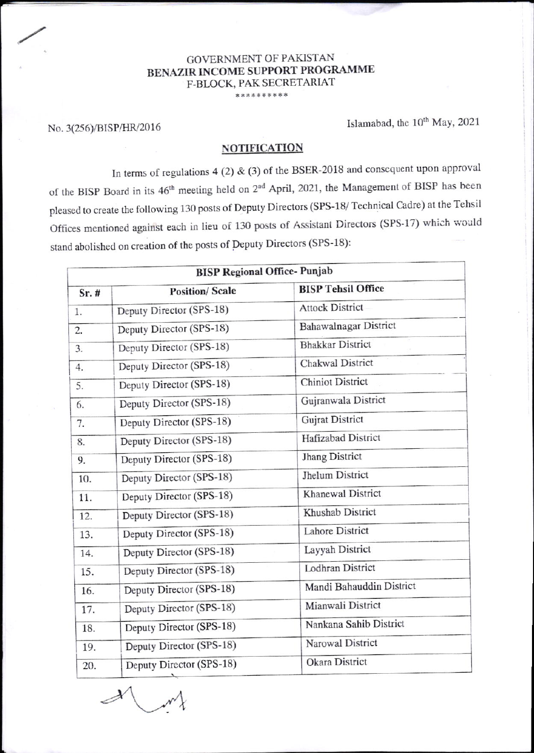## GOVERNMENT OF PAKISTAN BENAZIR INCOME SUPPORT PROGRAMME F-BLOCK, PAK SECRETARIAT

 $\mathcal{A}$ 

 $\sqrt{ }$ 

No. 3(256)/BISP/HR/2016 Islamabad, the 10<sup>th</sup> May, 2021

## **NOTIFICATION**

In terms of regulations 4 (2)  $\&$  (3) of the BSER-2018 and consequent upon approval of the BISP Board in its 46<sup>th</sup> meeting held on 2<sup>nd</sup> April, 2021, the Management of BISP has been pleased to create the following 130 posts of Deputy Directors (SPS-18/ Technical Cadre) at the Tehsil Offices mentioned against each in lieu of 130 posts of Assistant Directors (SPS-17) which would stand abolished on creation of the posts of Deputy Directors (SPS-18):

| <b>BISP Regional Office- Punjab</b> |                          |                           |  |  |
|-------------------------------------|--------------------------|---------------------------|--|--|
| Sr.#                                | <b>Position/Scale</b>    | <b>BISP Tehsil Office</b> |  |  |
| 1.                                  | Deputy Director (SPS-18) | <b>Attock District</b>    |  |  |
| 2.                                  | Deputy Director (SPS-18) | Bahawalnagar District     |  |  |
| 3.                                  | Deputy Director (SPS-18) | <b>Bhakkar District</b>   |  |  |
| 4.                                  | Deputy Director (SPS-18) | Chakwal District          |  |  |
| 5.                                  | Deputy Director (SPS-18) | <b>Chiniot District</b>   |  |  |
| 6.                                  | Deputy Director (SPS-18) | Gujranwala District       |  |  |
| 7.                                  | Deputy Director (SPS-18) | <b>Gujrat District</b>    |  |  |
| 8.                                  | Deputy Director (SPS-18) | Hafizabad District        |  |  |
| 9.                                  | Deputy Director (SPS-18) | <b>Jhang District</b>     |  |  |
| 10.                                 | Deputy Director (SPS-18) | Jhelum District           |  |  |
| 11.                                 | Deputy Director (SPS-18) | <b>Khanewal District</b>  |  |  |
| 12.                                 | Deputy Director (SPS-18) | Khushab District          |  |  |
| 13.                                 | Deputy Director (SPS-18) | <b>Lahore District</b>    |  |  |
| 14.                                 | Deputy Director (SPS-18) | Layyah District           |  |  |
| 15.                                 | Deputy Director (SPS-18) | Lodhran District          |  |  |
| 16.                                 | Deputy Director (SPS-18) | Mandi Bahauddin District  |  |  |
| 17.                                 | Deputy Director (SPS-18) | Mianwali District         |  |  |
| 18.                                 | Deputy Director (SPS-18) | Nankana Sahib District    |  |  |
| 19.                                 | Deputy Director (SPS-18) | Narowal District          |  |  |
| 20.                                 | Deputy Director (SPS-18) | Okara District            |  |  |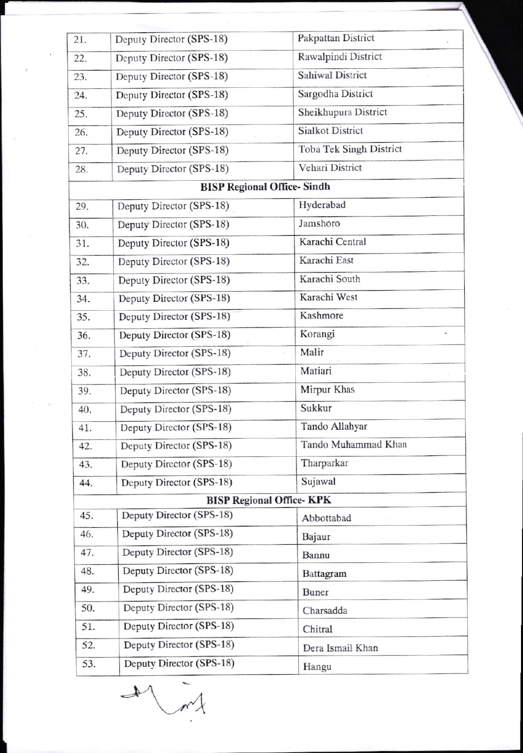| 21. | Deputy Director (SPS-18)          | Pakpattan District              |
|-----|-----------------------------------|---------------------------------|
| 22. | Deputy Director (SPS-18)          | Rawalpindi District             |
| 23. | Deputy Director (SPS-18)          | Sahiwal District                |
| 24. | Deputy Director (SPS-18)          | Sargodha District               |
| 25. | Deputy Director (SPS-18)          | Sheikhupura District            |
| 26. | Deputy Director (SPS-18)          | <b>Sialkot District</b>         |
| 27. | Deputy Director (SPS-18)          | Toba Tek Singh District         |
| 28. | Deputy Director (SPS-18)          | Vehari District                 |
|     | <b>BISP Regional Office-Sindh</b> |                                 |
| 29. | Deputy Director (SPS-18)          | Hyderabad                       |
| 30. | Deputy Director (SPS-18)          | Jamshoro                        |
| 31. | Deputy Director (SPS-18)          | Karachi Central                 |
| 32. | Deputy Director (SPS-18)          | Karachi East                    |
| 33. | Deputy Director (SPS-18)          | Karachi South                   |
| 34. | Deputy Director (SPS-18)          | Karachi West                    |
| 35. | Deputy Director (SPS-18)          | Kashmore                        |
| 36. | Deputy Director (SPS-18)          | Korangi                         |
| 37. | Deputy Director (SPS-18)          | Malir<br>e)                     |
| 38. | Deputy Director (SPS-18)          | Matiari                         |
| 39. | Deputy Director (SPS-18)          | Mirpur Khas                     |
| 40. | Deputy Director (SPS-18)          | Sukkur                          |
| 41. | Deputy Director (SPS-18)          | Tando Allahyar                  |
| 42. | Deputy Director (SPS-18)          | Tando Muhammad Khan             |
| 43. | Deputy Director (SPS-18)          | Tharparkar                      |
| 44. | Deputy Director (SPS-18)          | Sujawal                         |
|     |                                   | <b>BISP Regional Office-KPK</b> |
| 45. | Deputy Director (SPS-18)          | Abbottabad                      |
| 46. | Deputy Director (SPS-18)          | Bajaur                          |
| 47. | Deputy Director (SPS-18)          | Bannu                           |
| 48. | Deputy Director (SPS-18)          | Battagram                       |
| 49. | Deputy Director (SPS-18)          | Buner                           |
| 50. | Deputy Director (SPS-18)          | Charsadda                       |
| 51. | Deputy Director (SPS-18)          | Chitral                         |
| 52. | Deputy Director (SPS-18)          | Dera Ismail Khan                |
| 53. | Deputy Director (SPS-18)          | Hangu                           |

↨